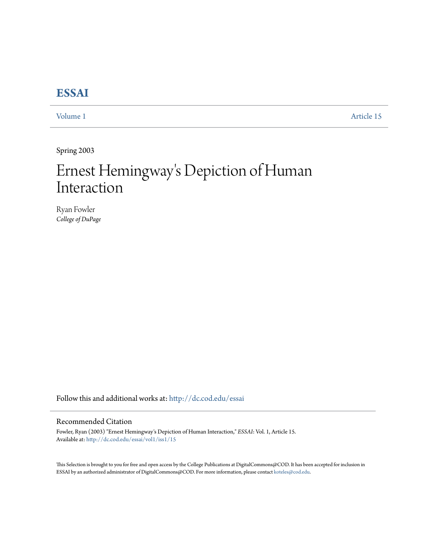## **[ESSAI](http://dc.cod.edu/essai?utm_source=dc.cod.edu%2Fessai%2Fvol1%2Fiss1%2F15&utm_medium=PDF&utm_campaign=PDFCoverPages)**

[Volume 1](http://dc.cod.edu/essai/vol1?utm_source=dc.cod.edu%2Fessai%2Fvol1%2Fiss1%2F15&utm_medium=PDF&utm_campaign=PDFCoverPages) [Article 15](http://dc.cod.edu/essai/vol1/iss1/15?utm_source=dc.cod.edu%2Fessai%2Fvol1%2Fiss1%2F15&utm_medium=PDF&utm_campaign=PDFCoverPages)

Spring 2003

## Ernest Hemingway 's Depiction of Human Interaction

Ryan Fowler *College of DuPage*

Follow this and additional works at: [http://dc.cod.edu/essai](http://dc.cod.edu/essai?utm_source=dc.cod.edu%2Fessai%2Fvol1%2Fiss1%2F15&utm_medium=PDF&utm_campaign=PDFCoverPages)

## Recommended Citation

Fowler, Ryan (2003) "Ernest Hemingway's Depiction of Human Interaction," *ESSAI*: Vol. 1, Article 15. Available at: [http://dc.cod.edu/essai/vol1/iss1/15](http://dc.cod.edu/essai/vol1/iss1/15?utm_source=dc.cod.edu%2Fessai%2Fvol1%2Fiss1%2F15&utm_medium=PDF&utm_campaign=PDFCoverPages)

This Selection is brought to you for free and open access by the College Publications at DigitalCommons@COD. It has been accepted for inclusion in ESSAI by an authorized administrator of DigitalCommons@COD. For more information, please contact [koteles@cod.edu](mailto:koteles@cod.edu).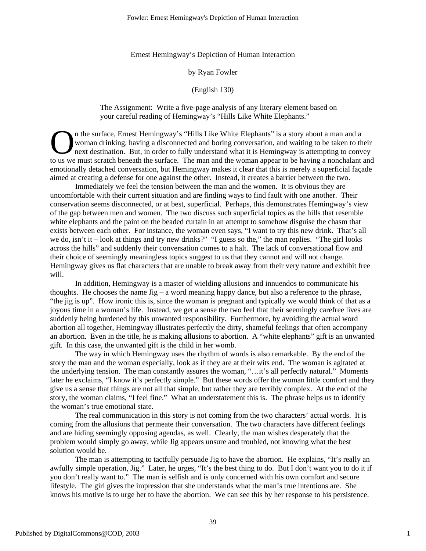Ernest Hemingway's Depiction of Human Interaction

by Ryan Fowler

(English 130)

The Assignment: Write a five-page analysis of any literary element based on your careful reading of Hemingway's "Hills Like White Elephants."

n the surface, Ernest Hemingway's "Hills Like White Elephants" is a story about a man and a woman drinking, having a disconnected and boring conversation, and waiting to be taken to their next destination. But, in order to fully understand what it is Hemingway is attempting to convey The surface, Ernest Hemingway's "Hills Like White Elephants" is a story about a man and a<br>woman drinking, having a disconnected and boring conversation, and waiting to be taken to their<br>next destination. But, in order to f emotionally detached conversation, but Hemingway makes it clear that this is merely a superficial façade aimed at creating a defense for one against the other. Instead, it creates a barrier between the two.

Immediately we feel the tension between the man and the women. It is obvious they are uncomfortable with their current situation and are finding ways to find fault with one another. Their conservation seems disconnected, or at best, superficial. Perhaps, this demonstrates Hemingway's view of the gap between men and women. The two discuss such superficial topics as the hills that resemble white elephants and the paint on the beaded curtain in an attempt to somehow disguise the chasm that exists between each other. For instance, the woman even says, "I want to try this new drink. That's all we do, isn't it – look at things and try new drinks?" "I guess so the," the man replies. "The girl looks across the hills" and suddenly their conversation comes to a halt. The lack of conversational flow and their choice of seemingly meaningless topics suggest to us that they cannot and will not change. Hemingway gives us flat characters that are unable to break away from their very nature and exhibit free will.

In addition, Hemingway is a master of wielding allusions and innuendos to communicate his thoughts. He chooses the name  $\text{Jig} - \text{a}$  word meaning happy dance, but also a reference to the phrase, "the jig is up". How ironic this is, since the woman is pregnant and typically we would think of that as a joyous time in a woman's life. Instead, we get a sense the two feel that their seemingly carefree lives are suddenly being burdened by this unwanted responsibility. Furthermore, by avoiding the actual word abortion all together, Hemingway illustrates perfectly the dirty, shameful feelings that often accompany an abortion. Even in the title, he is making allusions to abortion. A "white elephants" gift is an unwanted gift. In this case, the unwanted gift is the child in her womb.

The way in which Hemingway uses the rhythm of words is also remarkable. By the end of the story the man and the woman especially, look as if they are at their wits end. The woman is agitated at the underlying tension. The man constantly assures the woman, "…it's all perfectly natural." Moments later he exclaims, "I know it's perfectly simple." But these words offer the woman little comfort and they give us a sense that things are not all that simple, but rather they are terribly complex. At the end of the story, the woman claims, "I feel fine." What an understatement this is. The phrase helps us to identify the woman's true emotional state.

The real communication in this story is not coming from the two characters' actual words. It is coming from the allusions that permeate their conversation. The two characters have different feelings and are hiding seemingly opposing agendas, as well. Clearly, the man wishes desperately that the problem would simply go away, while Jig appears unsure and troubled, not knowing what the best solution would be.

The man is attempting to tactfully persuade Jig to have the abortion. He explains, "It's really an awfully simple operation, Jig." Later, he urges, "It's the best thing to do. But I don't want you to do it if you don't really want to." The man is selfish and is only concerned with his own comfort and secure lifestyle. The girl gives the impression that she understands what the man's true intentions are. She knows his motive is to urge her to have the abortion. We can see this by her response to his persistence.